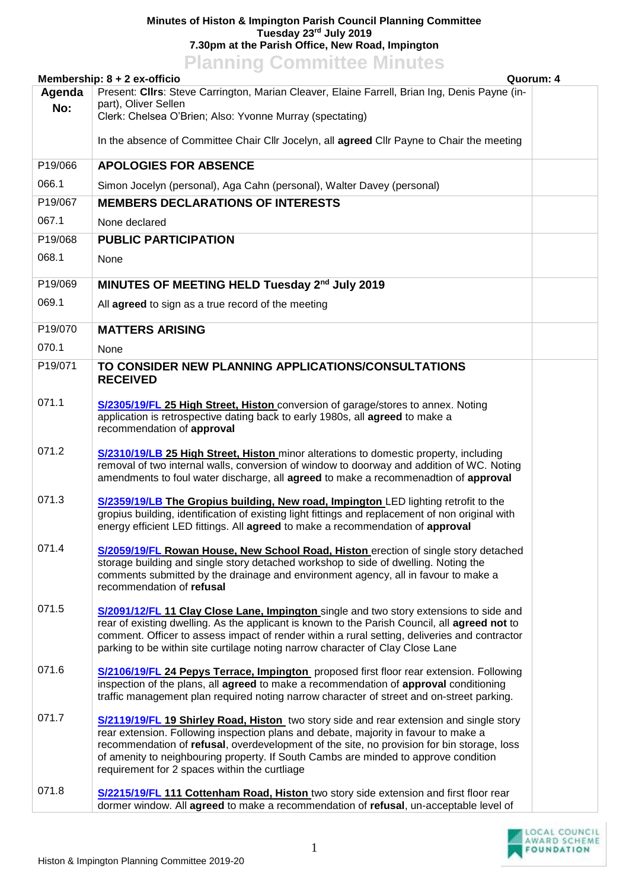## **Minutes of Histon & Impington Parish Council Planning Committee Tuesday 23rd July 2019 7.30pm at the Parish Office, New Road, Impington Planning Committee Minutes**

|                                                                                                                                                      | <b>FIGHTING COMMITTEE MINUTES</b>                                                                                                                                                                                                                                                                                                                                                                                           |  |  |  |
|------------------------------------------------------------------------------------------------------------------------------------------------------|-----------------------------------------------------------------------------------------------------------------------------------------------------------------------------------------------------------------------------------------------------------------------------------------------------------------------------------------------------------------------------------------------------------------------------|--|--|--|
| Membership: 8 + 2 ex-officio<br>Quorum: 4<br>Present: Cllrs: Steve Carrington, Marian Cleaver, Elaine Farrell, Brian Ing, Denis Payne (in-<br>Agenda |                                                                                                                                                                                                                                                                                                                                                                                                                             |  |  |  |
| No:                                                                                                                                                  | part), Oliver Sellen                                                                                                                                                                                                                                                                                                                                                                                                        |  |  |  |
|                                                                                                                                                      | Clerk: Chelsea O'Brien; Also: Yvonne Murray (spectating)                                                                                                                                                                                                                                                                                                                                                                    |  |  |  |
|                                                                                                                                                      | In the absence of Committee Chair Cllr Jocelyn, all agreed Cllr Payne to Chair the meeting                                                                                                                                                                                                                                                                                                                                  |  |  |  |
| P19/066                                                                                                                                              | <b>APOLOGIES FOR ABSENCE</b>                                                                                                                                                                                                                                                                                                                                                                                                |  |  |  |
| 066.1                                                                                                                                                | Simon Jocelyn (personal), Aga Cahn (personal), Walter Davey (personal)                                                                                                                                                                                                                                                                                                                                                      |  |  |  |
| P19/067                                                                                                                                              | <b>MEMBERS DECLARATIONS OF INTERESTS</b>                                                                                                                                                                                                                                                                                                                                                                                    |  |  |  |
| 067.1                                                                                                                                                | None declared                                                                                                                                                                                                                                                                                                                                                                                                               |  |  |  |
| P19/068                                                                                                                                              | <b>PUBLIC PARTICIPATION</b>                                                                                                                                                                                                                                                                                                                                                                                                 |  |  |  |
| 068.1                                                                                                                                                | None                                                                                                                                                                                                                                                                                                                                                                                                                        |  |  |  |
| P19/069                                                                                                                                              | MINUTES OF MEETING HELD Tuesday 2 <sup>nd</sup> July 2019                                                                                                                                                                                                                                                                                                                                                                   |  |  |  |
| 069.1                                                                                                                                                | All agreed to sign as a true record of the meeting                                                                                                                                                                                                                                                                                                                                                                          |  |  |  |
| P19/070                                                                                                                                              | <b>MATTERS ARISING</b>                                                                                                                                                                                                                                                                                                                                                                                                      |  |  |  |
| 070.1                                                                                                                                                | None                                                                                                                                                                                                                                                                                                                                                                                                                        |  |  |  |
| P19/071                                                                                                                                              | TO CONSIDER NEW PLANNING APPLICATIONS/CONSULTATIONS<br><b>RECEIVED</b>                                                                                                                                                                                                                                                                                                                                                      |  |  |  |
| 071.1                                                                                                                                                | S/2305/19/FL 25 High Street, Histon conversion of garage/stores to annex. Noting<br>application is retrospective dating back to early 1980s, all agreed to make a<br>recommendation of approval                                                                                                                                                                                                                             |  |  |  |
| 071.2                                                                                                                                                | S/2310/19/LB 25 High Street, Histon minor alterations to domestic property, including<br>removal of two internal walls, conversion of window to doorway and addition of WC. Noting<br>amendments to foul water discharge, all agreed to make a recommenadtion of approval                                                                                                                                                   |  |  |  |
| 071.3                                                                                                                                                | S/2359/19/LB The Gropius building, New road, Impington LED lighting retrofit to the<br>gropius building, identification of existing light fittings and replacement of non original with<br>energy efficient LED fittings. All agreed to make a recommendation of approval                                                                                                                                                   |  |  |  |
| 071.4                                                                                                                                                | S/2059/19/FL Rowan House, New School Road, Histon erection of single story detached<br>storage building and single story detached workshop to side of dwelling. Noting the<br>comments submitted by the drainage and environment agency, all in favour to make a<br>recommendation of refusal                                                                                                                               |  |  |  |
| 071.5                                                                                                                                                | S/2091/12/FL 11 Clay Close Lane, Impington single and two story extensions to side and<br>rear of existing dwelling. As the applicant is known to the Parish Council, all agreed not to<br>comment. Officer to assess impact of render within a rural setting, deliveries and contractor<br>parking to be within site curtilage noting narrow character of Clay Close Lane                                                  |  |  |  |
| 071.6                                                                                                                                                | S/2106/19/FL 24 Pepys Terrace, Impington proposed first floor rear extension. Following<br>inspection of the plans, all agreed to make a recommendation of approval conditioning<br>traffic management plan required noting narrow character of street and on-street parking.                                                                                                                                               |  |  |  |
| 071.7                                                                                                                                                | <b>S/2119/19/FL 19 Shirley Road, Histon</b> two story side and rear extension and single story<br>rear extension. Following inspection plans and debate, majority in favour to make a<br>recommendation of refusal, overdevelopment of the site, no provision for bin storage, loss<br>of amenity to neighbouring property. If South Cambs are minded to approve condition<br>requirement for 2 spaces within the curtliage |  |  |  |
| 071.8                                                                                                                                                | S/2215/19/FL 111 Cottenham Road, Histon two story side extension and first floor rear<br>dormer window. All agreed to make a recommendation of refusal, un-acceptable level of                                                                                                                                                                                                                                              |  |  |  |

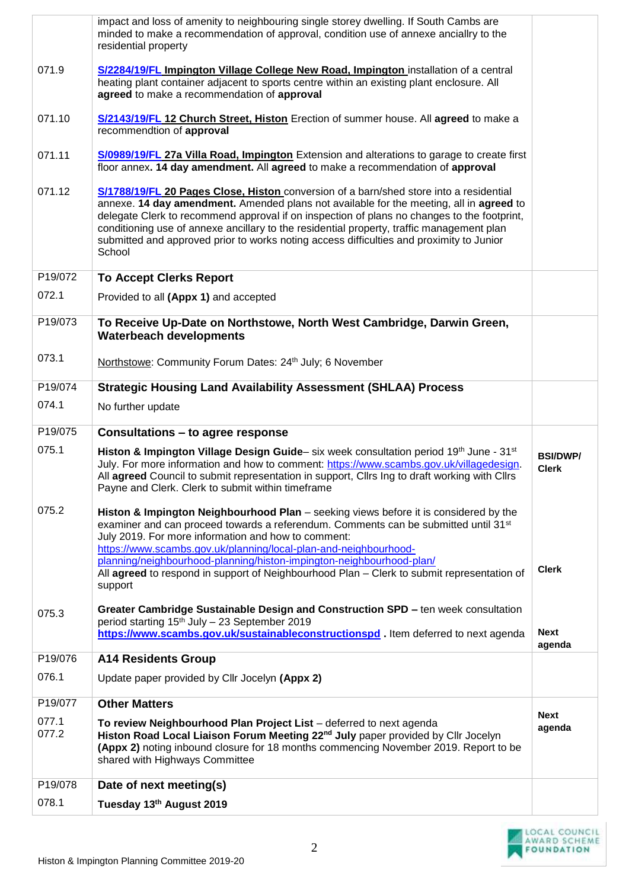|                | impact and loss of amenity to neighbouring single storey dwelling. If South Cambs are<br>minded to make a recommendation of approval, condition use of annexe anciallry to the<br>residential property                                                                                                                                                                                                                                                                              |                                 |
|----------------|-------------------------------------------------------------------------------------------------------------------------------------------------------------------------------------------------------------------------------------------------------------------------------------------------------------------------------------------------------------------------------------------------------------------------------------------------------------------------------------|---------------------------------|
| 071.9          | S/2284/19/FL Impington Village College New Road, Impington installation of a central<br>heating plant container adjacent to sports centre within an existing plant enclosure. All<br>agreed to make a recommendation of approval                                                                                                                                                                                                                                                    |                                 |
| 071.10         | S/2143/19/FL 12 Church Street, Histon Erection of summer house. All agreed to make a<br>recommendtion of approval                                                                                                                                                                                                                                                                                                                                                                   |                                 |
| 071.11         | S/0989/19/FL 27a Villa Road, Impington Extension and alterations to garage to create first<br>floor annex. 14 day amendment. All agreed to make a recommendation of approval                                                                                                                                                                                                                                                                                                        |                                 |
| 071.12         | S/1788/19/FL 20 Pages Close, Histon conversion of a barn/shed store into a residential<br>annexe. 14 day amendment. Amended plans not available for the meeting, all in agreed to<br>delegate Clerk to recommend approval if on inspection of plans no changes to the footprint,<br>conditioning use of annexe ancillary to the residential property, traffic management plan<br>submitted and approved prior to works noting access difficulties and proximity to Junior<br>School |                                 |
| P19/072        | <b>To Accept Clerks Report</b>                                                                                                                                                                                                                                                                                                                                                                                                                                                      |                                 |
| 072.1          | Provided to all (Appx 1) and accepted                                                                                                                                                                                                                                                                                                                                                                                                                                               |                                 |
| P19/073        | To Receive Up-Date on Northstowe, North West Cambridge, Darwin Green,<br><b>Waterbeach developments</b>                                                                                                                                                                                                                                                                                                                                                                             |                                 |
| 073.1          | Northstowe: Community Forum Dates: 24th July; 6 November                                                                                                                                                                                                                                                                                                                                                                                                                            |                                 |
| P19/074        | <b>Strategic Housing Land Availability Assessment (SHLAA) Process</b>                                                                                                                                                                                                                                                                                                                                                                                                               |                                 |
| 074.1          | No further update                                                                                                                                                                                                                                                                                                                                                                                                                                                                   |                                 |
| P19/075        | Consultations - to agree response                                                                                                                                                                                                                                                                                                                                                                                                                                                   |                                 |
| 075.1          | Histon & Impington Village Design Guide- six week consultation period 19th June - 31st<br>July. For more information and how to comment: https://www.scambs.gov.uk/villagedesign.<br>All agreed Council to submit representation in support, Cllrs Ing to draft working with Cllrs<br>Payne and Clerk. Clerk to submit within timeframe                                                                                                                                             | <b>BSI/DWP/</b><br><b>Clerk</b> |
| 075.2          | Histon & Impington Neighbourhood Plan – seeking views before it is considered by the<br>examiner and can proceed towards a referendum. Comments can be submitted until 31st<br>July 2019. For more information and how to comment:<br>https://www.scambs.gov.uk/planning/local-plan-and-neighbourhood-                                                                                                                                                                              |                                 |
|                | planning/neighbourhood-planning/histon-impington-neighbourhood-plan/<br>All agreed to respond in support of Neighbourhood Plan - Clerk to submit representation of<br>support                                                                                                                                                                                                                                                                                                       | <b>Clerk</b>                    |
| 075.3          | Greater Cambridge Sustainable Design and Construction SPD - ten week consultation<br>period starting 15 <sup>th</sup> July - 23 September 2019<br>https://www.scambs.gov.uk/sustainableconstructionspd. Item deferred to next agenda                                                                                                                                                                                                                                                | <b>Next</b><br>agenda           |
| P19/076        | <b>A14 Residents Group</b>                                                                                                                                                                                                                                                                                                                                                                                                                                                          |                                 |
| 076.1          | Update paper provided by Cllr Jocelyn (Appx 2)                                                                                                                                                                                                                                                                                                                                                                                                                                      |                                 |
| P19/077        | <b>Other Matters</b>                                                                                                                                                                                                                                                                                                                                                                                                                                                                |                                 |
| 077.1<br>077.2 | To review Neighbourhood Plan Project List - deferred to next agenda<br>Histon Road Local Liaison Forum Meeting 22 <sup>nd</sup> July paper provided by Cllr Jocelyn<br>(Appx 2) noting inbound closure for 18 months commencing November 2019. Report to be<br>shared with Highways Committee                                                                                                                                                                                       | <b>Next</b><br>agenda           |
| P19/078        | Date of next meeting(s)                                                                                                                                                                                                                                                                                                                                                                                                                                                             |                                 |
| 078.1          | Tuesday 13th August 2019                                                                                                                                                                                                                                                                                                                                                                                                                                                            |                                 |